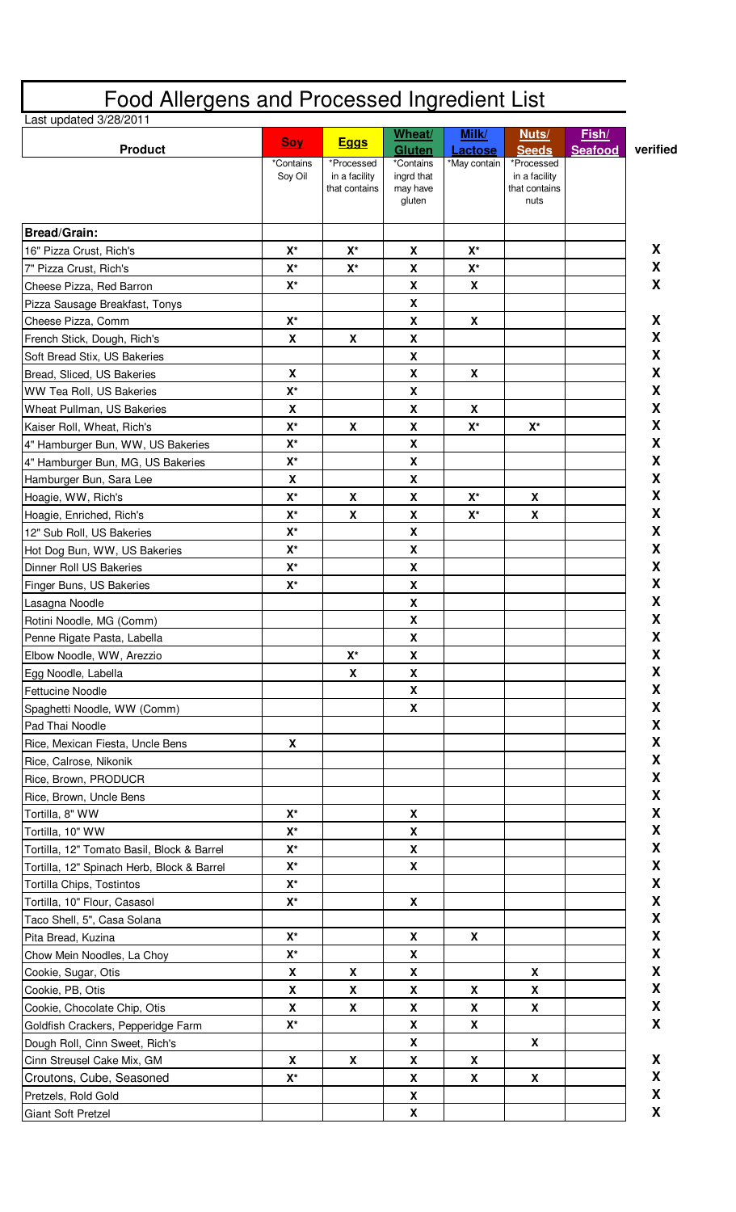|                                            | Wheat/<br>Milk/<br>Nuts/  |                             |                           |                           |                             | Fish/   |
|--------------------------------------------|---------------------------|-----------------------------|---------------------------|---------------------------|-----------------------------|---------|
| <b>Product</b>                             | <b>Soy</b>                | <b>Eggs</b>                 | <b>Gluten</b>             | <b>Lactose</b>            | <b>Seeds</b>                | Seafood |
|                                            | *Contains<br>Sov Oil      | *Processed<br>in a facility | *Contains<br>ingrd that   | *May contain              | *Processed<br>in a facility |         |
|                                            |                           | that contains               | may have                  |                           | that contains               |         |
|                                            |                           |                             | gluten                    |                           | nuts                        |         |
| <b>Bread/Grain:</b>                        |                           |                             |                           |                           |                             |         |
| 16" Pizza Crust, Rich's                    | $X^*$                     | $\mathsf{X}^\star$          | $\boldsymbol{\mathsf{X}}$ | $\mathsf{X}^\star$        |                             |         |
| 7" Pizza Crust, Rich's                     | $\mathsf{X}^\star$        | $\mathsf{X}^\star$          | X                         | $X^*$                     |                             |         |
| Cheese Pizza, Red Barron                   | $\mathsf{X}^\star$        |                             | X                         | $\boldsymbol{\mathsf{X}}$ |                             |         |
| Pizza Sausage Breakfast, Tonys             |                           |                             | X                         |                           |                             |         |
| Cheese Pizza, Comm                         | $\mathsf{X}^{\star}$      |                             | X                         | $\mathbf x$               |                             |         |
| French Stick, Dough, Rich's                | X                         | X                           | X                         |                           |                             |         |
| Soft Bread Stix, US Bakeries               |                           |                             | X                         |                           |                             |         |
| Bread, Sliced, US Bakeries                 | $\boldsymbol{\mathsf{X}}$ |                             | $\boldsymbol{\mathsf{X}}$ | X                         |                             |         |
| <b>WW Tea Roll, US Bakeries</b>            | $\mathsf{X}^\star$        |                             | X                         |                           |                             |         |
| Wheat Pullman, US Bakeries                 | $\boldsymbol{\mathsf{X}}$ |                             | $\boldsymbol{\mathsf{X}}$ | $\boldsymbol{\mathsf{X}}$ |                             |         |
| Kaiser Roll, Wheat, Rich's                 | $\mathsf{X}^\star$        | X                           | $\pmb{\mathsf{X}}$        | $\mathsf{X}^\star$        | $\mathsf{X}^\star$          |         |
| 4" Hamburger Bun, WW, US Bakeries          | $\mathsf{X}^\star$        |                             | $\pmb{\mathsf{X}}$        |                           |                             |         |
| 4" Hamburger Bun, MG, US Bakeries          | $\mathsf{X}^\star$        |                             | X                         |                           |                             |         |
| Hamburger Bun, Sara Lee                    | X                         |                             | X                         |                           |                             |         |
| Hoagie, WW, Rich's                         | $\mathsf{X}^\star$        | X                           | X                         | $\mathsf{X}^\star$        | X                           |         |
| Hoagie, Enriched, Rich's                   | $X^*$                     | X                           | X                         | $\mathsf{X}^\star$        | X                           |         |
| 12" Sub Roll, US Bakeries                  | $X^*$                     |                             | X                         |                           |                             |         |
| Hot Dog Bun, WW, US Bakeries               | $X^*$                     |                             | X                         |                           |                             |         |
| Dinner Roll US Bakeries                    | $\mathsf{X}^\star$        |                             | $\boldsymbol{\mathsf{X}}$ |                           |                             |         |
| Finger Buns, US Bakeries                   | $X^*$                     |                             | X                         |                           |                             |         |
| Lasagna Noodle                             |                           |                             | X                         |                           |                             |         |
| Rotini Noodle, MG (Comm)                   |                           |                             | X                         |                           |                             |         |
| Penne Rigate Pasta, Labella                |                           |                             | X                         |                           |                             |         |
| Elbow Noodle, WW, Arezzio                  |                           | $X^*$                       | X                         |                           |                             |         |
| Egg Noodle, Labella                        |                           | X                           | X                         |                           |                             |         |
| <b>Fettucine Noodle</b>                    |                           |                             | $\boldsymbol{\mathsf{X}}$ |                           |                             |         |
| Spaghetti Noodle, WW (Comm)                |                           |                             | X                         |                           |                             |         |
| Pad Thai Noodle                            |                           |                             |                           |                           |                             |         |
| Rice, Mexican Fiesta, Uncle Bens           | X                         |                             |                           |                           |                             |         |
| Rice, Calrose, Nikonik                     |                           |                             |                           |                           |                             |         |
| Rice, Brown, PRODUCR                       |                           |                             |                           |                           |                             |         |
| Rice, Brown, Uncle Bens                    |                           |                             |                           |                           |                             |         |
| Tortilla, 8" WW                            | $\mathsf{X}^\star$        |                             | X                         |                           |                             |         |
| Tortilla, 10" WW                           | $\mathsf{X}^\star$        |                             | X                         |                           |                             |         |
| Tortilla, 12" Tomato Basil, Block & Barrel | $\mathsf{X}^\star$        |                             | $\boldsymbol{\mathsf{X}}$ |                           |                             |         |
| Tortilla, 12" Spinach Herb, Block & Barrel | $X^*$                     |                             | $\pmb{\mathsf{X}}$        |                           |                             |         |
| Tortilla Chips, Tostintos                  | $\mathsf{X}^\star$        |                             |                           |                           |                             |         |
| Tortilla, 10" Flour, Casasol               | $\mathsf{X}^\star$        |                             | X                         |                           |                             |         |
| Taco Shell, 5", Casa Solana                |                           |                             |                           |                           |                             |         |
| Pita Bread, Kuzina                         | $\mathsf{X}^\star$        |                             | X                         | X                         |                             |         |
| Chow Mein Noodles, La Choy                 | $\mathsf{X}^\star$        |                             | X                         |                           |                             |         |
| Cookie, Sugar, Otis                        | X                         | X                           | X                         |                           | X                           |         |
| Cookie, PB, Otis                           | X                         | X                           | X                         | X                         | X                           |         |
| Cookie, Chocolate Chip, Otis               | $\boldsymbol{\mathsf{X}}$ | X                           | X                         | $\pmb{\chi}$              | X                           |         |
| Goldfish Crackers, Pepperidge Farm         | $\mathsf{X}^\star$        |                             | X                         | X                         |                             |         |
| Dough Roll, Cinn Sweet, Rich's             |                           |                             | X                         |                           | X                           |         |
| Cinn Streusel Cake Mix, GM                 | X                         | X                           | X                         | X                         |                             |         |
| Croutons, Cube, Seasoned                   | $\mathsf{X}^\star$        |                             | X                         | X                         | X                           |         |
|                                            |                           |                             | X                         |                           |                             |         |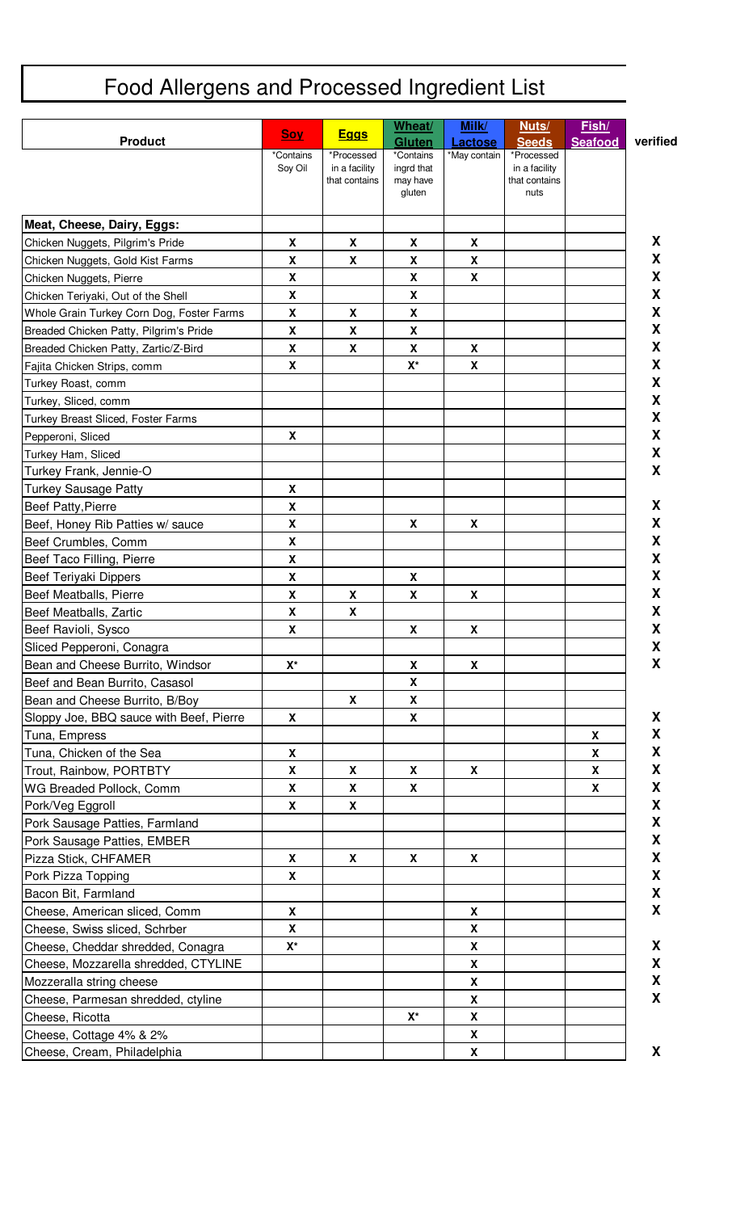## Food Allergens and Processed Ingredient List

| <b>Product</b>                            | <b>Soy</b>                | <b>Eggs</b>                                  | Wheat/<br><b>Gluten</b>             | Milk/<br>Lactose   | Nuts/<br><b>Seeds</b>                        | Fish/<br><b>Seafood</b> | verified |
|-------------------------------------------|---------------------------|----------------------------------------------|-------------------------------------|--------------------|----------------------------------------------|-------------------------|----------|
|                                           | *Contains<br>Soy Oil      | *Processed<br>in a facility<br>that contains | *Contains<br>ingrd that<br>may have | *May contain       | *Processed<br>in a facility<br>that contains |                         |          |
|                                           |                           |                                              | gluten                              |                    | nuts                                         |                         |          |
| Meat, Cheese, Dairy, Eggs:                |                           |                                              |                                     |                    |                                              |                         |          |
| Chicken Nuggets, Pilgrim's Pride          | X                         | X                                            | X                                   | X                  |                                              |                         | X        |
| Chicken Nuggets, Gold Kist Farms          | X                         | X                                            | X                                   | X                  |                                              |                         | X        |
| Chicken Nuggets, Pierre                   | X                         |                                              | X                                   | $\pmb{\mathsf{X}}$ |                                              |                         | X        |
| Chicken Teriyaki, Out of the Shell        | X                         |                                              | X                                   |                    |                                              |                         | X        |
| Whole Grain Turkey Corn Dog, Foster Farms | X                         | X                                            | X                                   |                    |                                              |                         | X        |
| Breaded Chicken Patty, Pilgrim's Pride    | X                         | X                                            | $\boldsymbol{X}$                    |                    |                                              |                         | X        |
| Breaded Chicken Patty, Zartic/Z-Bird      | X                         | X                                            | X                                   | X                  |                                              |                         | X        |
| Fajita Chicken Strips, comm               | $\boldsymbol{\mathsf{X}}$ |                                              | $X^*$                               | $\pmb{\mathsf{X}}$ |                                              |                         | X        |
| Turkey Roast, comm                        |                           |                                              |                                     |                    |                                              |                         | X        |
| Turkey, Sliced, comm                      |                           |                                              |                                     |                    |                                              |                         | X        |
| Turkey Breast Sliced, Foster Farms        |                           |                                              |                                     |                    |                                              |                         | X        |
| Pepperoni, Sliced                         | $\boldsymbol{\mathsf{X}}$ |                                              |                                     |                    |                                              |                         | X        |
| Turkey Ham, Sliced                        |                           |                                              |                                     |                    |                                              |                         | X        |
| Turkey Frank, Jennie-O                    |                           |                                              |                                     |                    |                                              |                         | X        |
| <b>Turkey Sausage Patty</b>               | X                         |                                              |                                     |                    |                                              |                         |          |
| <b>Beef Patty, Pierre</b>                 | X                         |                                              |                                     |                    |                                              |                         | X        |
| Beef, Honey Rib Patties w/ sauce          | $\boldsymbol{x}$          |                                              | X                                   | $\pmb{\mathsf{X}}$ |                                              |                         | X        |
| Beef Crumbles, Comm                       | X                         |                                              |                                     |                    |                                              |                         | X        |
| Beef Taco Filling, Pierre                 | $\boldsymbol{\mathsf{X}}$ |                                              |                                     |                    |                                              |                         | X        |
| Beef Teriyaki Dippers                     | X                         |                                              | X                                   |                    |                                              |                         | X        |
| Beef Meatballs, Pierre                    | $\mathbf x$               | X                                            | $\pmb{\chi}$                        | $\pmb{\mathsf{X}}$ |                                              |                         | X        |
| Beef Meatballs, Zartic                    | X                         | X                                            |                                     |                    |                                              |                         | χ        |
| Beef Ravioli, Sysco                       | $\boldsymbol{\mathsf{X}}$ |                                              | $\pmb{\mathsf{X}}$                  | $\pmb{\mathsf{X}}$ |                                              |                         | X        |
| Sliced Pepperoni, Conagra                 |                           |                                              |                                     |                    |                                              |                         | X        |
| Bean and Cheese Burrito, Windsor          | $\mathbf{X}^{\star}$      |                                              | X                                   | X                  |                                              |                         | X        |
| Beef and Bean Burrito, Casasol            |                           |                                              | X                                   |                    |                                              |                         |          |
| Bean and Cheese Burrito, B/Boy            |                           | X                                            | X                                   |                    |                                              |                         |          |
| Sloppy Joe, BBQ sauce with Beef, Pierre   | X                         |                                              | X                                   |                    |                                              |                         | X        |
| Tuna, Empress                             |                           |                                              |                                     |                    |                                              | X                       | X        |
| Tuna, Chicken of the Sea                  | $\mathbf x$               |                                              |                                     |                    |                                              | X                       | X        |
| Trout, Rainbow, PORTBTY                   | X                         | X                                            | X                                   | X                  |                                              | X                       | X        |
| WG Breaded Pollock, Comm                  | $\mathbf x$               | X                                            | X                                   |                    |                                              | X                       | X        |
| Pork/Veg Eggroll                          | X                         | X                                            |                                     |                    |                                              |                         | X        |
| Pork Sausage Patties, Farmland            |                           |                                              |                                     |                    |                                              |                         | X        |
| Pork Sausage Patties, EMBER               |                           |                                              |                                     |                    |                                              |                         | X        |
| Pizza Stick, CHFAMER                      | X                         | X                                            | X                                   | X                  |                                              |                         | χ        |
| Pork Pizza Topping                        | X                         |                                              |                                     |                    |                                              |                         | X        |
| Bacon Bit, Farmland                       |                           |                                              |                                     |                    |                                              |                         | X        |
| Cheese, American sliced, Comm             | $\mathbf x$               |                                              |                                     | $\mathbf x$        |                                              |                         | X        |
| Cheese, Swiss sliced, Schrber             | $\boldsymbol{\mathsf{X}}$ |                                              |                                     | $\mathbf x$        |                                              |                         |          |
| Cheese, Cheddar shredded, Conagra         | $\mathsf{X}^\star$        |                                              |                                     | $\pmb{\mathsf{X}}$ |                                              |                         | X        |
| Cheese, Mozzarella shredded, CTYLINE      |                           |                                              |                                     | $\pmb{\mathsf{X}}$ |                                              |                         | X        |
| Mozzeralla string cheese                  |                           |                                              |                                     | X                  |                                              |                         | X        |
| Cheese, Parmesan shredded, ctyline        |                           |                                              |                                     | X                  |                                              |                         | X        |
| Cheese, Ricotta                           |                           |                                              | $X^*$                               | X                  |                                              |                         |          |
| Cheese, Cottage 4% & 2%                   |                           |                                              |                                     | X                  |                                              |                         |          |
| Cheese, Cream, Philadelphia               |                           |                                              |                                     | X                  |                                              |                         | X        |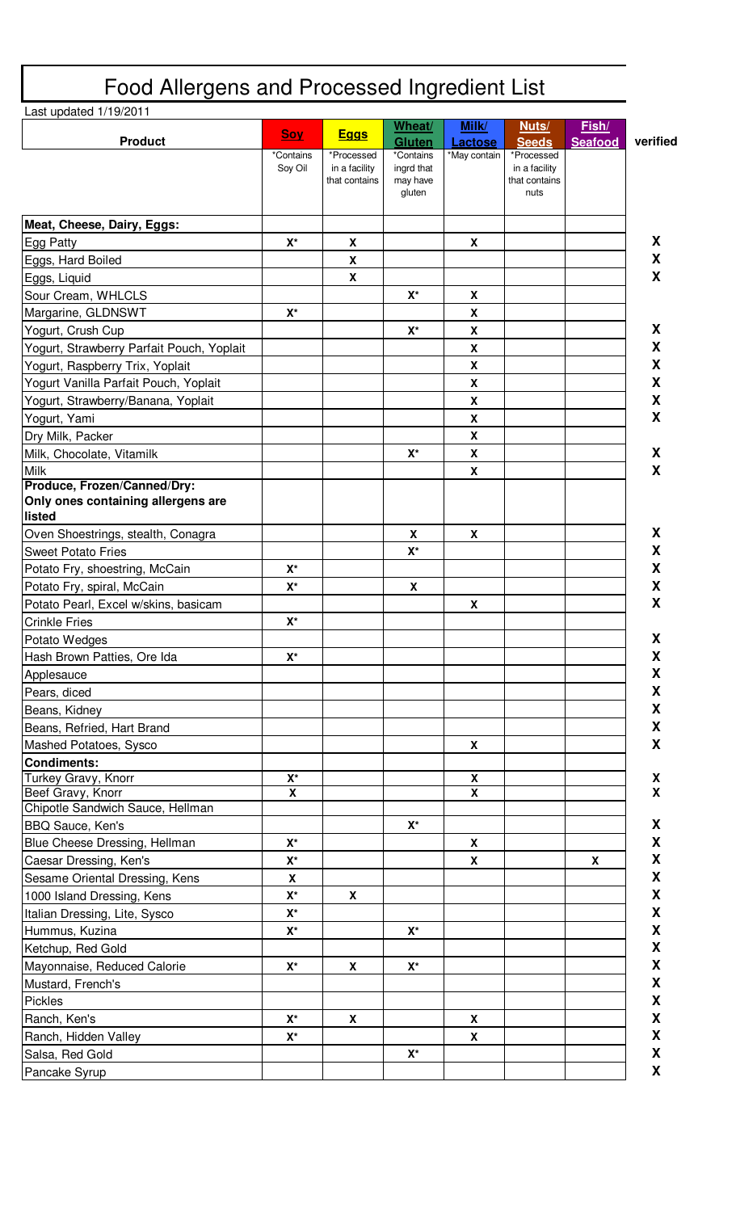| Last updated 1/19/2011                                                      |                         |                                              |                                               |                           |                                                      |                  |  |
|-----------------------------------------------------------------------------|-------------------------|----------------------------------------------|-----------------------------------------------|---------------------------|------------------------------------------------------|------------------|--|
| <b>Product</b>                                                              | <b>Soy</b>              | <b>Eggs</b>                                  | Wheat/<br><b>Gluten</b>                       | Milk/<br><b>Lactose</b>   | Nuts/<br><b>Seeds</b>                                | Fish/<br>Seafood |  |
|                                                                             | *Contains<br>Soy Oil    | *Processed<br>in a facility<br>that contains | *Contains<br>ingrd that<br>may have<br>gluten | *May contain              | *Processed<br>in a facility<br>that contains<br>nuts |                  |  |
| Meat, Cheese, Dairy, Eggs:                                                  |                         |                                              |                                               |                           |                                                      |                  |  |
| Egg Patty                                                                   | $\mathsf{X}^\star$      | $\mathbf x$                                  |                                               | $\boldsymbol{\mathsf{X}}$ |                                                      |                  |  |
| Eggs, Hard Boiled                                                           |                         | $\boldsymbol{\mathsf{X}}$                    |                                               |                           |                                                      |                  |  |
| Eggs, Liquid                                                                |                         | $\boldsymbol{\mathsf{X}}$                    |                                               |                           |                                                      |                  |  |
| Sour Cream, WHLCLS                                                          |                         |                                              | $X^*$                                         | X                         |                                                      |                  |  |
| Margarine, GLDNSWT                                                          | $\mathsf{X}^\star$      |                                              |                                               | X                         |                                                      |                  |  |
| Yogurt, Crush Cup                                                           |                         |                                              | $\mathsf{X}^\star$                            | X                         |                                                      |                  |  |
| Yogurt, Strawberry Parfait Pouch, Yoplait                                   |                         |                                              |                                               | X                         |                                                      |                  |  |
| Yogurt, Raspberry Trix, Yoplait                                             |                         |                                              |                                               | $\boldsymbol{\mathsf{X}}$ |                                                      |                  |  |
| Yogurt Vanilla Parfait Pouch, Yoplait                                       |                         |                                              |                                               | X                         |                                                      |                  |  |
| Yogurt, Strawberry/Banana, Yoplait                                          |                         |                                              |                                               | $\boldsymbol{\mathsf{X}}$ |                                                      |                  |  |
| Yogurt, Yami                                                                |                         |                                              |                                               | X                         |                                                      |                  |  |
| Dry Milk, Packer                                                            |                         |                                              |                                               | X                         |                                                      |                  |  |
| Milk, Chocolate, Vitamilk                                                   |                         |                                              | $X^*$                                         | X                         |                                                      |                  |  |
| <b>Milk</b>                                                                 |                         |                                              |                                               | X                         |                                                      |                  |  |
| Produce, Frozen/Canned/Dry:<br>Only ones containing allergens are<br>listed |                         |                                              |                                               |                           |                                                      |                  |  |
| Oven Shoestrings, stealth, Conagra                                          |                         |                                              | X                                             | X                         |                                                      |                  |  |
| <b>Sweet Potato Fries</b>                                                   |                         |                                              | $\mathsf{X}^\star$                            |                           |                                                      |                  |  |
| Potato Fry, shoestring, McCain                                              | $X^*$                   |                                              |                                               |                           |                                                      |                  |  |
| Potato Fry, spiral, McCain                                                  | $\mathbf{X}^{\star}$    |                                              | X                                             |                           |                                                      |                  |  |
| Potato Pearl, Excel w/skins, basicam                                        |                         |                                              |                                               | X                         |                                                      |                  |  |
| <b>Crinkle Fries</b>                                                        | X*                      |                                              |                                               |                           |                                                      |                  |  |
| Potato Wedges                                                               |                         |                                              |                                               |                           |                                                      |                  |  |
| Hash Brown Patties, Ore Ida                                                 | $\mathsf{X}^\star$      |                                              |                                               |                           |                                                      |                  |  |
| Applesauce                                                                  |                         |                                              |                                               |                           |                                                      |                  |  |
| Pears, diced                                                                |                         |                                              |                                               |                           |                                                      |                  |  |
| Beans, Kidney                                                               |                         |                                              |                                               |                           |                                                      |                  |  |
| Beans, Refried, Hart Brand                                                  |                         |                                              |                                               |                           |                                                      |                  |  |
| Mashed Potatoes, Sysco                                                      |                         |                                              |                                               | X                         |                                                      |                  |  |
| <b>Condiments:</b>                                                          |                         |                                              |                                               |                           |                                                      |                  |  |
| Turkey Gravy, Knorr                                                         | $\mathsf{X}^\star$      |                                              |                                               | X                         |                                                      |                  |  |
| Beef Gravy, Knorr                                                           | $\overline{\mathbf{x}}$ |                                              |                                               | $\overline{\mathbf{x}}$   |                                                      |                  |  |
| Chipotle Sandwich Sauce, Hellman                                            |                         |                                              |                                               |                           |                                                      |                  |  |
| <b>BBQ Sauce, Ken's</b>                                                     |                         |                                              | $\mathsf{X}^\star$                            |                           |                                                      |                  |  |
| Blue Cheese Dressing, Hellman                                               | $\mathsf{X}^\star$      |                                              |                                               | X                         |                                                      |                  |  |
| Caesar Dressing, Ken's                                                      | $\mathsf{X}^\star$      |                                              |                                               | X                         |                                                      | X                |  |
| Sesame Oriental Dressing, Kens                                              | X                       |                                              |                                               |                           |                                                      |                  |  |
| 1000 Island Dressing, Kens                                                  | $\mathsf{X}^\star$      | X                                            |                                               |                           |                                                      |                  |  |
| Italian Dressing, Lite, Sysco                                               | $\mathsf{X}^\star$      |                                              |                                               |                           |                                                      |                  |  |
| Hummus, Kuzina                                                              | $\mathsf{X}^\star$      |                                              | $X^*$                                         |                           |                                                      |                  |  |
| Ketchup, Red Gold                                                           |                         |                                              |                                               |                           |                                                      |                  |  |
| Mayonnaise, Reduced Calorie                                                 | $X^*$                   | X                                            | $\mathbf{X}^{\star}$                          |                           |                                                      |                  |  |
| Mustard, French's                                                           |                         |                                              |                                               |                           |                                                      |                  |  |
| <b>Pickles</b>                                                              |                         |                                              |                                               |                           |                                                      |                  |  |
| Ranch, Ken's                                                                | $X^*$                   | X                                            |                                               | X                         |                                                      |                  |  |
| Ranch, Hidden Valley                                                        | $\mathbf{X}^{\star}$    |                                              |                                               | $\boldsymbol{\mathsf{X}}$ |                                                      |                  |  |
| Salsa, Red Gold                                                             |                         |                                              | $\mathsf{X}^\star$                            |                           |                                                      |                  |  |
| Pancake Syrup                                                               |                         |                                              |                                               |                           |                                                      |                  |  |

 $\mathbf{r}$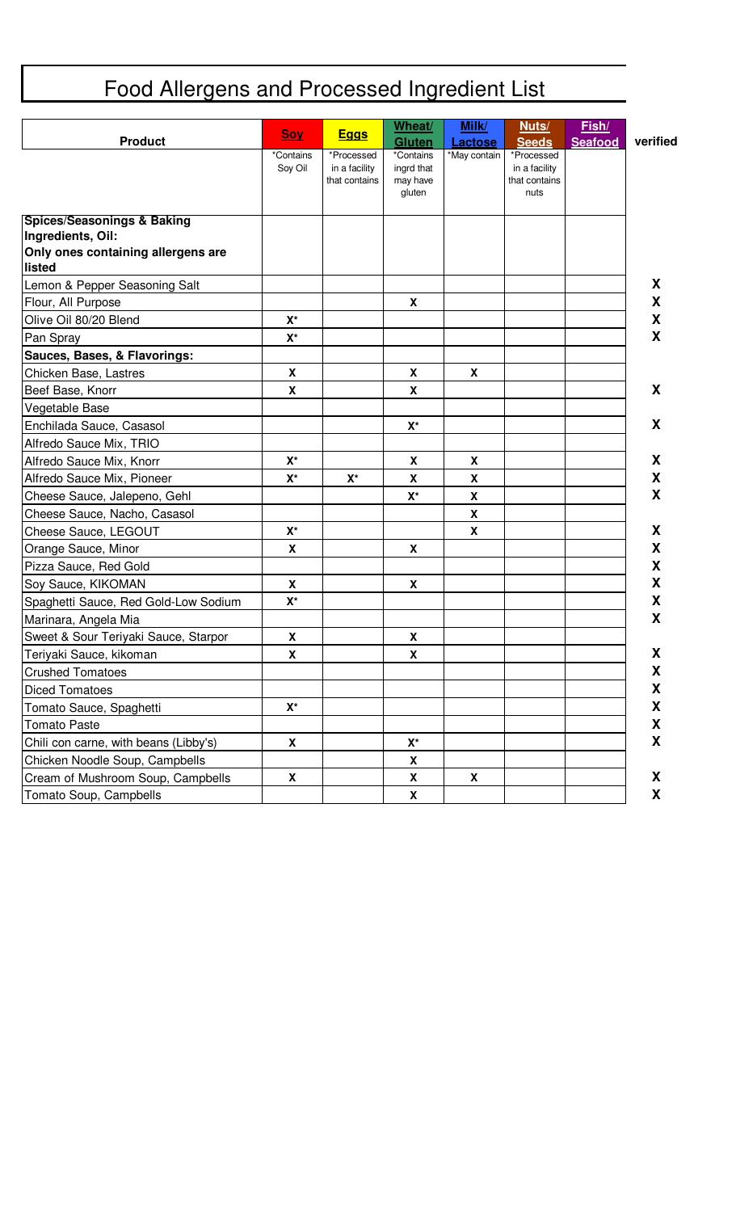## Food Allergens and Processed Ingredient List

| <b>Product</b>                                                    | <b>Soy</b>                | <u>Eggs</u>                                  | Wheat/<br><b>Gluten</b>                       | Milk/<br><b>Lactose</b> | Nuts/<br><b>Seeds</b>                                | Fish/<br><b>Seafood</b> | verified |
|-------------------------------------------------------------------|---------------------------|----------------------------------------------|-----------------------------------------------|-------------------------|------------------------------------------------------|-------------------------|----------|
|                                                                   | *Contains<br>Soy Oil      | *Processed<br>in a facility<br>that contains | *Contains<br>ingrd that<br>may have<br>gluten | *May contain            | *Processed<br>in a facility<br>that contains<br>nuts |                         |          |
| Spices/Seasonings & Baking                                        |                           |                                              |                                               |                         |                                                      |                         |          |
| Ingredients, Oil:<br>Only ones containing allergens are<br>listed |                           |                                              |                                               |                         |                                                      |                         |          |
| Lemon & Pepper Seasoning Salt                                     |                           |                                              |                                               |                         |                                                      |                         | X        |
| Flour, All Purpose                                                |                           |                                              | X                                             |                         |                                                      |                         | X        |
| Olive Oil 80/20 Blend                                             | $\mathsf{X}^\star$        |                                              |                                               |                         |                                                      |                         | X        |
| Pan Spray                                                         | $\mathsf{X}^\star$        |                                              |                                               |                         |                                                      |                         | X        |
| Sauces, Bases, & Flavorings:                                      |                           |                                              |                                               |                         |                                                      |                         |          |
| Chicken Base, Lastres                                             | X                         |                                              | X                                             | X                       |                                                      |                         |          |
| Beef Base, Knorr                                                  | $\boldsymbol{\mathsf{X}}$ |                                              | $\boldsymbol{\mathsf{X}}$                     |                         |                                                      |                         | X        |
| Vegetable Base                                                    |                           |                                              |                                               |                         |                                                      |                         |          |
| Enchilada Sauce, Casasol                                          |                           |                                              | $\mathsf{X}^\star$                            |                         |                                                      |                         | X        |
| Alfredo Sauce Mix, TRIO                                           |                           |                                              |                                               |                         |                                                      |                         |          |
| Alfredo Sauce Mix, Knorr                                          | $X^*$                     |                                              | X                                             | X                       |                                                      |                         | X        |
| Alfredo Sauce Mix, Pioneer                                        | $X^*$                     | $X^*$                                        | X                                             | X                       |                                                      |                         | X        |
| Cheese Sauce, Jalepeno, Gehl                                      |                           |                                              | $\mathsf{X}^\star$                            | X                       |                                                      |                         | X        |
| Cheese Sauce, Nacho, Casasol                                      |                           |                                              |                                               | $\pmb{\chi}$            |                                                      |                         |          |
| Cheese Sauce, LEGOUT                                              | $X^*$                     |                                              |                                               | X                       |                                                      |                         | X        |
| Orange Sauce, Minor                                               | $\boldsymbol{\mathsf{X}}$ |                                              | $\boldsymbol{\mathsf{X}}$                     |                         |                                                      |                         | X        |
| Pizza Sauce, Red Gold                                             |                           |                                              |                                               |                         |                                                      |                         | X        |
| Soy Sauce, KIKOMAN                                                | $\boldsymbol{\mathsf{X}}$ |                                              | X                                             |                         |                                                      |                         | X        |
| Spaghetti Sauce, Red Gold-Low Sodium                              | $\mathsf{X}^\star$        |                                              |                                               |                         |                                                      |                         | X        |
| Marinara, Angela Mia                                              |                           |                                              |                                               |                         |                                                      |                         | X        |
| Sweet & Sour Teriyaki Sauce, Starpor                              | X                         |                                              | X                                             |                         |                                                      |                         |          |
| Teriyaki Sauce, kikoman                                           | X                         |                                              | X                                             |                         |                                                      |                         | X        |
| <b>Crushed Tomatoes</b>                                           |                           |                                              |                                               |                         |                                                      |                         | X        |
| <b>Diced Tomatoes</b>                                             |                           |                                              |                                               |                         |                                                      |                         | X        |
| Tomato Sauce, Spaghetti                                           | $\mathsf{X}^\star$        |                                              |                                               |                         |                                                      |                         | X        |
| <b>Tomato Paste</b>                                               |                           |                                              |                                               |                         |                                                      |                         | X        |
| Chili con carne, with beans (Libby's)                             | $\mathbf{x}$              |                                              | $\mathbf{X}^{\star}$                          |                         |                                                      |                         | X        |
| Chicken Noodle Soup, Campbells                                    |                           |                                              | X                                             |                         |                                                      |                         |          |
| Cream of Mushroom Soup, Campbells                                 | X                         |                                              | X                                             | X                       |                                                      |                         | X        |
| Tomato Soup, Campbells                                            |                           |                                              | X                                             |                         |                                                      |                         | X        |